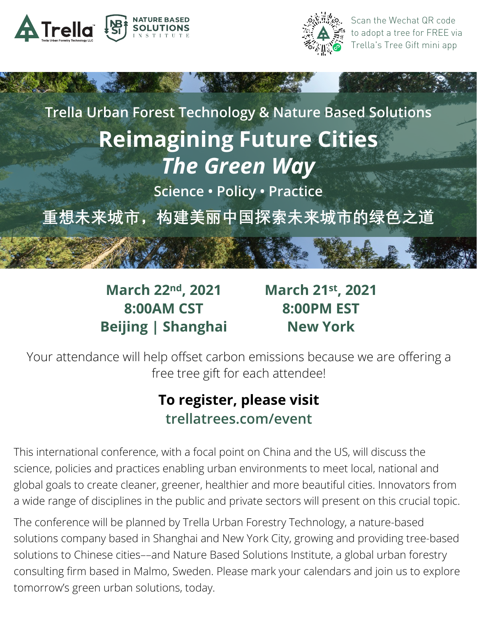



Scan the Wechat QR code to adopt a tree for FREE via Trella's Tree Gift mini app

**Trella Urban Forest Technology & Nature Based Solutions Reimagining Future Cities**  *The Green Way*

**Science • Policy • Practice**

**重想未来城市,构建美丽中国探索未来城市的绿色之道**

**March 22nd, 2021 8:00AM CST Beijing | Shanghai**  **March 21st, 2021 8:00PM EST New York** 

Your attendance will help offset carbon emissions because we are offering a free tree gift for each attendee!

## **To register, please visit trellatrees.com/event**

This international conference, with a focal point on China and the US, will discuss the science, policies and practices enabling urban environments to meet local, national and global goals to create cleaner, greener, healthier and more beautiful cities. Innovators from a wide range of disciplines in the public and private sectors will present on this crucial topic.

The conference will be planned by Trella Urban Forestry Technology, a nature-based solutions company based in Shanghai and New York City, growing and providing tree-based solutions to Chinese cities––and Nature Based Solutions Institute, a global urban forestry consulting firm based in Malmo, Sweden. Please mark your calendars and join us to explore tomorrow's green urban solutions, today.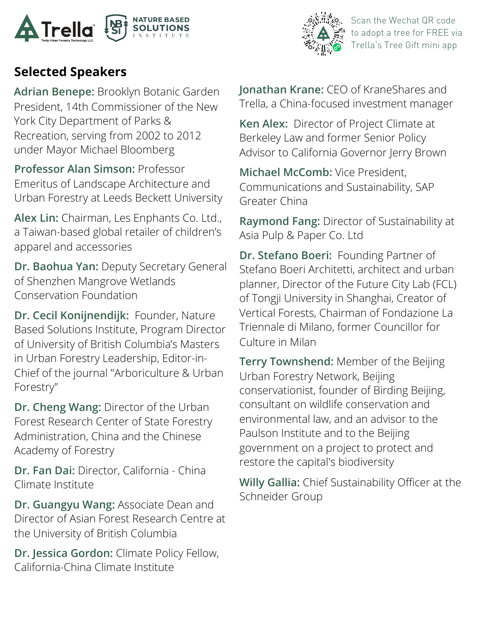



Scan the Wechat QR code to adopt a tree for FREE via Trella's Tree Gift mini app

## **Selected Speakers**

**Adrian Benepe:** Brooklyn Botanic Garden President, 14th Commissioner of the New York City Department of Parks & Recreation, serving from 2002 to 2012 under Mayor Michael Bloomberg

**Professor Alan Simson:** Professor Emeritus of Landscape Architecture and Urban Forestry at Leeds Beckett University

**Alex Lin:** Chairman, Les Enphants Co. Ltd., a Taiwan-based global retailer of children's apparel and accessories

**Dr. Baohua Yan:** Deputy Secretary General of Shenzhen Mangrove Wetlands Conservation Foundation

**Dr. Cecil Konijnendijk:** Founder, Nature Based Solutions Institute, Program Director of University of British Columbia's Masters in Urban Forestry Leadership, Editor-in-Chief of the journal "Arboriculture & Urban Forestry"

**Dr. Cheng Wang:** Director of the Urban Forest Research Center of State Forestry Administration, China and the Chinese Academy of Forestry

**Dr. Fan Dai:** Director, California - China Climate Institute

**Dr. Guangyu Wang:** Associate Dean and Director of Asian Forest Research Centre at the University of British Columbia

**Dr. Jessica Gordon:** Climate Policy Fellow, California-China Climate Institute

**Jonathan Krane:** CEO of KraneShares and Trella, a China-focused investment manager

**Ken Alex:** Director of Project Climate at Berkeley Law and former Senior Policy Advisor to California Governor Jerry Brown

**Michael McComb:** Vice President, Communications and Sustainability, SAP Greater China

**Raymond Fang:** Director of Sustainability at Asia Pulp & Paper Co. Ltd

**Dr. Stefano Boeri:** Founding Partner of Stefano Boeri Architetti, architect and urban planner, Director of the Future City Lab (FCL) of Tongji University in Shanghai, Creator of Vertical Forests, Chairman of Fondazione La Triennale di Milano, former Councillor for Culture in Milan

**Terry Townshend:** Member of the Beijing Urban Forestry Network, Beijing conservationist, founder of Birding Beijing, consultant on wildlife conservation and environmental law, and an advisor to the Paulson Institute and to the Beijing government on a project to protect and restore the capital's biodiversity

**Willy Gallia:** Chief Sustainability Officer at the Schneider Group